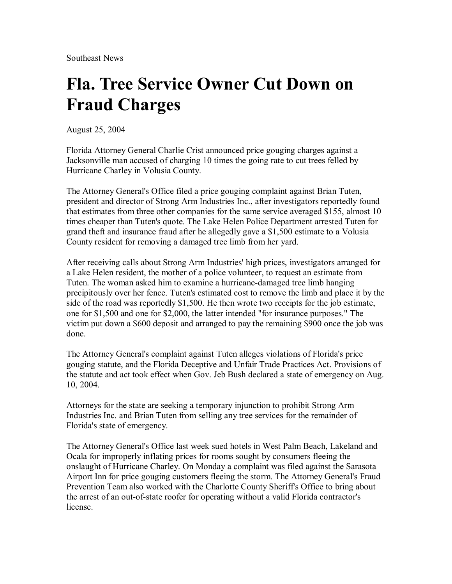Southeast News

## **Fla. Tree Service Owner Cut Down on Fraud Charges**

August 25, 2004

Florida Attorney General Charlie Crist announced price gouging charges against a Jacksonville man accused of charging 10 times the going rate to cut trees felled by Hurricane Charley in Volusia County.

The Attorney General's Office filed a price gouging complaint against Brian Tuten, president and director of Strong Arm Industries Inc., after investigators reportedly found that estimates from three other companies for the same service averaged \$155, almost 10 times cheaper than Tuten's quote. The Lake Helen Police Department arrested Tuten for grand theft and insurance fraud after he allegedly gave a \$1,500 estimate to a Volusia County resident for removing a damaged tree limb from her yard.

After receiving calls about Strong Arm Industries' high prices, investigators arranged for a Lake Helen resident, the mother of a police volunteer, to request an estimate from Tuten. The woman asked him to examine a hurricane-damaged tree limb hanging precipitously over her fence. Tuten's estimated cost to remove the limb and place it by the side of the road was reportedly \$1,500. He then wrote two receipts for the job estimate, one for \$1,500 and one for \$2,000, the latter intended "for insurance purposes." The victim put down a \$600 deposit and arranged to pay the remaining \$900 once the job was done.

The Attorney General's complaint against Tuten alleges violations of Florida's price gouging statute, and the Florida Deceptive and Unfair Trade Practices Act. Provisions of the statute and act took effect when Gov. Jeb Bush declared a state of emergency on Aug. 10, 2004.

Attorneys for the state are seeking a temporary injunction to prohibit Strong Arm Industries Inc. and Brian Tuten from selling any tree services for the remainder of Florida's state of emergency.

The Attorney General's Office last week sued hotels in West Palm Beach, Lakeland and Ocala for improperly inflating prices for rooms sought by consumers fleeing the onslaught of Hurricane Charley. On Monday a complaint was filed against the Sarasota Airport Inn for price gouging customers fleeing the storm. The Attorney General's Fraud Prevention Team also worked with the Charlotte County Sheriff's Office to bring about the arrest of an out-of-state roofer for operating without a valid Florida contractor's license.